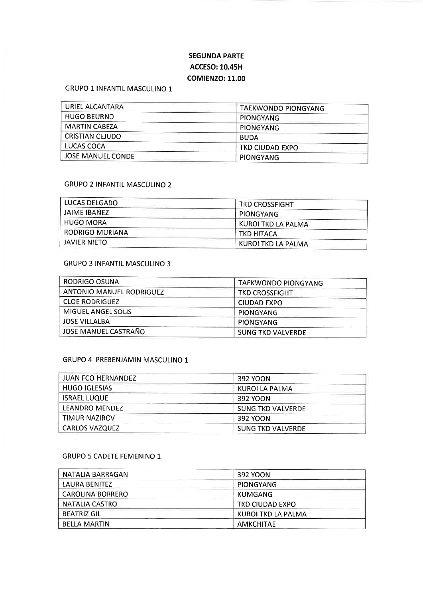# SEGUNDA PARTE ACCESO:10.45H COMIENZO:11.00

## GRUPO 1 INFANTIL MASCULINO <sup>1</sup>

| URIEL ALCANTARA      | TAEKWONDO PIONGYANG    |
|----------------------|------------------------|
| <b>HUGO BEURNO</b>   | PIONGYANG              |
| <b>MARTIN CABEZA</b> | <b>PIONGYANG</b>       |
| CRISTIAN CEJUDO      | <b>BUDA</b>            |
| LUCAS COCA           | <b>TKD CIUDAD EXPO</b> |
| JOSE MANUEL CONDE    | <b>PIONGYANG</b>       |

### GRUPO 2 INFANTIL MASCULINO 2

| LUCAS DELGADO       | <b>TKD CROSSFIGHT</b> |
|---------------------|-----------------------|
| JAIME IBAÑEZ        | PIONGYANG             |
| <b>HUGO MORA</b>    | KUROI TKD LA PALMA    |
| RODRIGO MURIANA     | TKD HITACA            |
| <b>JAVIER NIETO</b> | KUROI TKD LA PALMA    |

## GRUPO 3 INFANTIL MASCULINO 3

| RODRIGO OSUNA                   | TAEKWONDO PIONGYANG      |
|---------------------------------|--------------------------|
| <b>ANTONIO MANUEL RODRIGUEZ</b> | <b>TKD CROSSFIGHT</b>    |
| <b>CLOE RODRIGUEZ</b>           | CIUDAD EXPO              |
| MIGUEL ANGEL SOLIS              | <b>PIONGYANG</b>         |
| <b>JOSE VILLALBA</b>            | PIONGYANG                |
| JOSE MANUEL CASTRAÑO            | <b>SUNG TKD VALVERDE</b> |

#### GRUPO 4 PREBENJAMIN MASCULINO <sup>1</sup>

| <b>JUAN FCO HERNANDEZ</b> | 392 YOON                 |
|---------------------------|--------------------------|
| <b>HUGO IGLESIAS</b>      | KUROI LA PALMA           |
| <b>ISRAEL LUQUE</b>       | 392 YOON                 |
| LEANDRO MENDEZ            | <b>SUNG TKD VALVERDE</b> |
| TIMUR NAZIROV             | 392 YOON                 |
| <b>CARLOS VAZQUEZ</b>     | <b>SUNG TKD VALVERDE</b> |

### GRUPO 5 CADETE FEMENINO 1

| NATALIA BARRAGAN        | 392 YOON               |
|-------------------------|------------------------|
| LAURA BENITEZ           | PIONGYANG              |
| <b>CAROLINA BORRERO</b> | KUMGANG                |
| NATALIA CASTRO          | <b>TKD CIUDAD EXPO</b> |
| <b>BEATRIZ GIL</b>      | KUROI TKD LA PALMA     |
| <b>BELLA MARTIN</b>     | <b>AMKCHITAF</b>       |